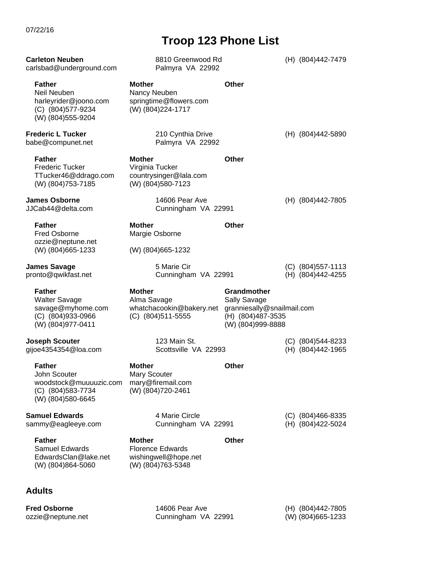| 07/22/16 |  |
|----------|--|
|----------|--|

## **Troop 123 Phone List**

| <b>Carleton Neuben</b><br>carlsbad@underground.com                                                     | 8810 Greenwood Rd<br>Palmyra VA 22992                                                 |                                                                                                       | (H) (804)442-7479                         |
|--------------------------------------------------------------------------------------------------------|---------------------------------------------------------------------------------------|-------------------------------------------------------------------------------------------------------|-------------------------------------------|
| <b>Father</b><br>Neil Neuben<br>harleyrider@joono.com<br>(C) (804) 577-9234<br>(W) (804) 555-9204      | Mother<br>Nancy Neuben<br>springtime@flowers.com<br>(W) (804) 224-1717                | Other                                                                                                 |                                           |
| <b>Frederic L Tucker</b><br>babe@compunet.net                                                          | 210 Cynthia Drive<br>Palmyra VA 22992                                                 |                                                                                                       | (H) (804)442-5890                         |
| <b>Father</b><br><b>Frederic Tucker</b><br>TTucker46@ddrago.com<br>(W) (804)753-7185                   | <b>Mother</b><br>Virginia Tucker<br>countrysinger@lala.com<br>(W) (804) 580-7123      | Other                                                                                                 |                                           |
| <b>James Osborne</b><br>JJCab44@delta.com                                                              | 14606 Pear Ave<br>Cunningham VA 22991                                                 |                                                                                                       | (H) (804)442-7805                         |
| <b>Father</b><br><b>Fred Osborne</b><br>ozzie@neptune.net<br>(W) (804) 665-1233                        | Mother<br>Margie Osborne<br>(W) (804) 665-1232                                        | <b>Other</b>                                                                                          |                                           |
| <b>James Savage</b><br>pronto@qwikfast.net                                                             | 5 Marie Cir<br>Cunningham VA 22991                                                    |                                                                                                       | (C) (804) 557-1113<br>(H) (804)442-4255   |
|                                                                                                        |                                                                                       |                                                                                                       |                                           |
| <b>Father</b><br><b>Walter Savage</b><br>savage@myhome.com<br>(C) (804) 933-0966<br>(W) (804) 977-0411 | <b>Mother</b><br>Alma Savage<br>whatchacookin@bakery.net<br>$(C)$ (804)511-5555       | Grandmother<br>Sally Savage<br>granniesally@snailmail.com<br>(H) (804) 487-3535<br>(W) (804) 999-8888 |                                           |
| <b>Joseph Scouter</b><br>gijoe4354354@loa.com                                                          | 123 Main St.<br>Scottsville VA 22993                                                  |                                                                                                       | $(C)$ (804)544-8233<br>(H) (804) 442-1965 |
| Father<br>John Scouter<br>woodstock@muuuuzic.com<br>(C) (804) 583-7734<br>(W) (804) 580-6645           | Mother<br>Mary Scouter<br>mary@firemail.com<br>(W) (804)720-2461                      | <b>Other</b>                                                                                          |                                           |
| <b>Samuel Edwards</b><br>sammy@eagleeye.com                                                            | 4 Marie Circle<br>Cunningham VA 22991                                                 |                                                                                                       | $(C)$ (804)466-8335<br>(H) (804) 422-5024 |
| <b>Father</b><br><b>Samuel Edwards</b><br>EdwardsClan@lake.net<br>(W) (804) 864-5060                   | <b>Mother</b><br><b>Florence Edwards</b><br>wishingwell@hope.net<br>(W) (804)763-5348 | <b>Other</b>                                                                                          |                                           |
| <b>Adults</b>                                                                                          |                                                                                       |                                                                                                       |                                           |